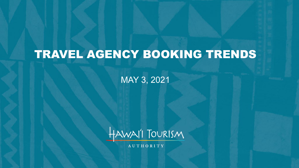# TRAVEL AGENCY BOOKING TRENDS

MAY 3, 2021



**AUTHORITY**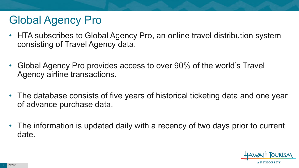## Global Agency Pro

- HTA subscribes to Global Agency Pro, an online travel distribution system consisting of Travel Agency data.
- Global Agency Pro provides access to over 90% of the world's Travel Agency airline transactions.
- The database consists of five years of historical ticketing data and one year of advance purchase data.
- The information is updated daily with a recency of two days prior to current date.

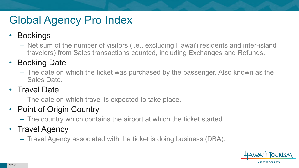# Global Agency Pro Index

#### • Bookings

– Net sum of the number of visitors (i.e., excluding Hawai'i residents and inter-island travelers) from Sales transactions counted, including Exchanges and Refunds.

#### • Booking Date

– The date on which the ticket was purchased by the passenger. Also known as the Sales Date.

#### • Travel Date

– The date on which travel is expected to take place.

#### • Point of Origin Country

– The country which contains the airport at which the ticket started.

#### • Travel Agency

– Travel Agency associated with the ticket is doing business (DBA).

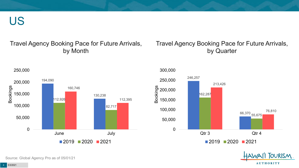US

#### Travel Agency Booking Pace for Future Arrivals, by Month

#### Travel Agency Booking Pace for Future Arrivals, by Quarter







Source: Global Agency Pro as of 05/01/21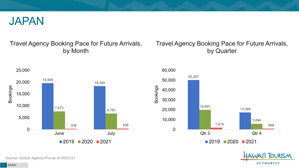

#### Travel Agency Booking Pace for Future Arrivals, by Month



#### Travel Agency Booking Pace for Future Arrivals, by Quarter





Source: Global Agency Pro as of 05/01/21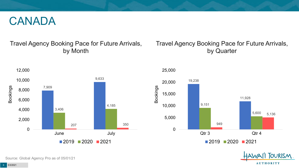#### CANADA

#### Travel Agency Booking Pace for Future Arrivals, by Month

#### Travel Agency Booking Pace for Future Arrivals, by Quarter







Source: Global Agency Pro as of 05/01/21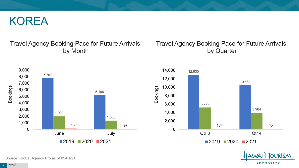#### KOREA

#### Travel Agency Booking Pace for Future Arrivals, by Month



#### Travel Agency Booking Pace for Future Arrivals, by Quarter





Source: Global Agency Pro as of 05/01/21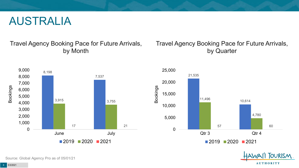#### AUSTRALIA

Travel Agency Booking Pace for Future Arrivals, by Month



#### Travel Agency Booking Pace for Future Arrivals, by Quarter





Source: Global Agency Pro as of 05/01/21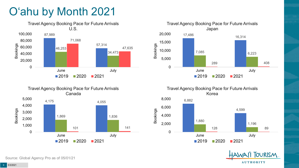# O'ahu by Month 2021





Travel Agency Booking Pace for Future Arrivals Korea





Canada 4,175 4,055 1,869 1,836 101 141 0 1,000 2,000 3,000 4,000 5,000 Bookings

Travel Agency Booking Pace for Future Arrivals

June July  $2019$  2020 2021

Source: Global Agency Pro as of 05/01/21

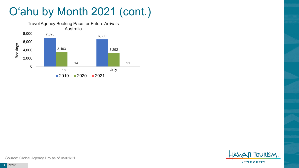# O'ahu by Month 2021 (cont.)





Source: Global Agency Pro as of 05/01/21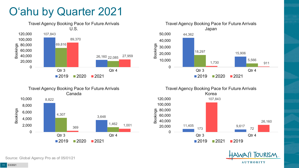#### O'ahu by Quarter 2021











Source: Global Agency Pro as of 05/01/21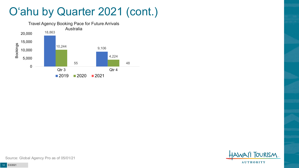#### O'ahu by Quarter 2021 (cont.)





Source: Global Agency Pro as of 05/01/21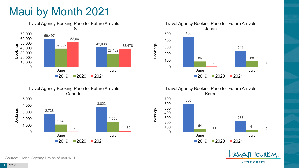## Maui by Month 2021









Travel Agency Booking Pace for Future Arrivals Korea

Bookings



**OURISM AUTHORITY** 

Source: Global Agency Pro as of 05/01/21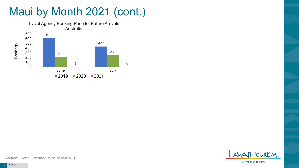# Maui by Month 2021 (cont.)





Source: Global Agency Pro as of 05/01/21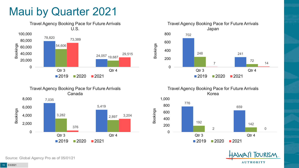#### Maui by Quarter 2021









Travel Agency Booking Pace for Future Arrivals Korea



Bookings

**OURISM AUTHORITY** 

Source: Global Agency Pro as of 05/01/21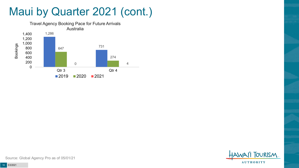#### Maui by Quarter 2021 (cont.)





Source: Global Agency Pro as of 05/01/21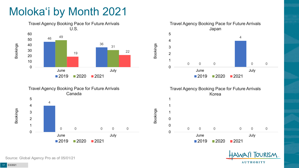## Moloka'i by Month 2021





Travel Agency Booking Pace for Future Arrivals Japan  $\Omega$  0 0 0 June July 2020 2021

Bookings

Bookings



2020 2021



Source: Global Agency Pro as of 05/01/21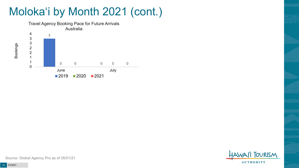## Moloka'i by Month 2021 (cont.)



**TOURISM AUTHORITY** 

Source: Global Agency Pro as of 05/01/21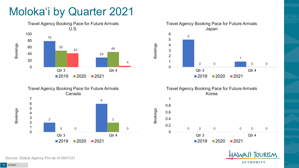## Moloka'i by Quarter 2021









Bookings



Source: Global Agency Pro as of 05/01/21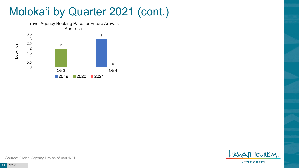#### Moloka'i by Quarter 2021 (cont.)



**TOURISM AUTHORITY** 

Source: Global Agency Pro as of 05/01/21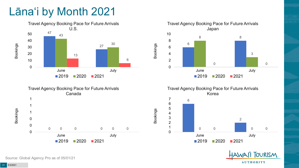## Lāna'i by Month 2021









Bookings





Source: Global Agency Pro as of 05/01/21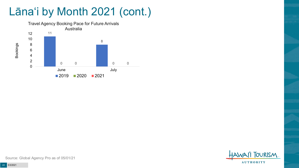## Lāna'i by Month 2021 (cont.)



**TOURISM AUTHORITY** 

Source: Global Agency Pro as of 05/01/21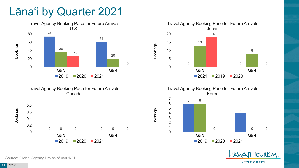#### Lāna'i by Quarter 2021







Travel Agency Booking Pace for Future Arrivals Korea

Bookings



**OURISM AUTHORITY** 

Source: Global Agency Pro as of 05/01/21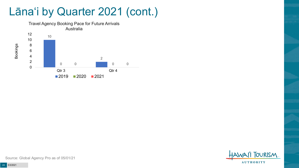#### Lāna'i by Quarter 2021 (cont.)



**TOURISM AUTHORITY** 

Source: Global Agency Pro as of 05/01/21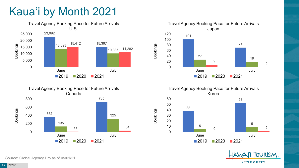# Kaua'i by Month 2021









**OURISM AUTHORITY** 

Source: Global Agency Pro as of 05/01/21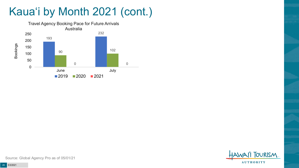## Kaua'i by Month 2021 (cont.)





Source: Global Agency Pro as of 05/01/21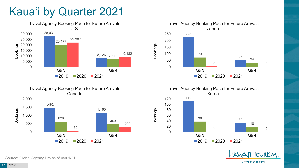## Kaua'i by Quarter 2021











Source: Global Agency Pro as of 05/01/21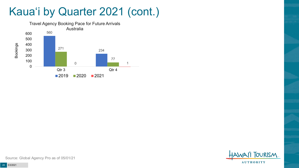## Kaua'i by Quarter 2021 (cont.)





Source: Global Agency Pro as of 05/01/21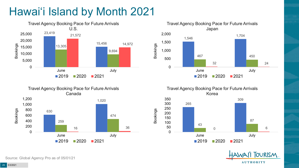# Hawai'i Island by Month 2021







Travel Agency Booking Pace for Future Arrivals Korea 265 309 43 87 0 6 0 50 100 150 200 250 300 350 June July  $2019$  2020 2021

Bookings



Source: Global Agency Pro as of 05/01/21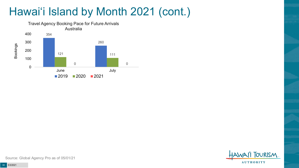## Hawai'i Island by Month 2021 (cont.)



**FOURISM AUTHORITY** 

Source: Global Agency Pro as of 05/01/21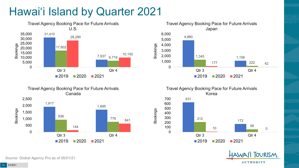# Hawai'i Island by Quarter 2021











Source: Global Agency Pro as of 05/01/21